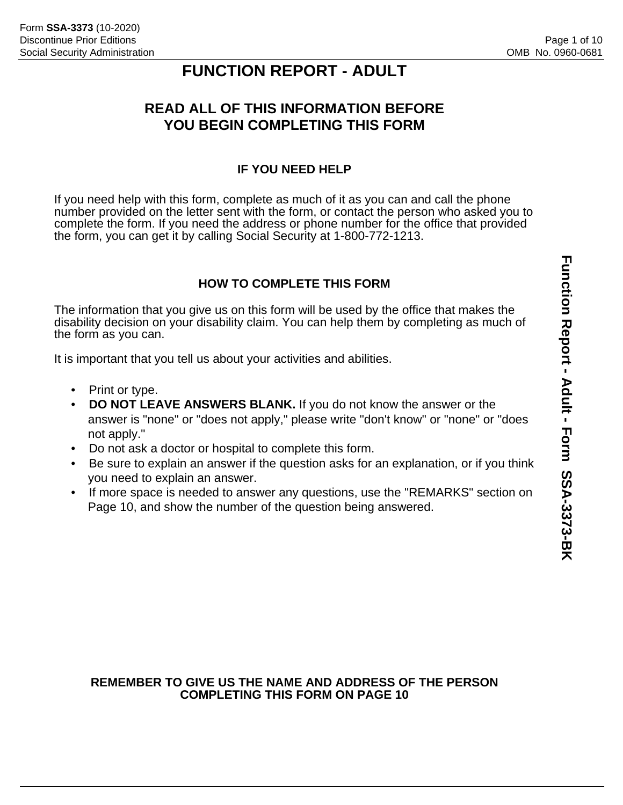# **FUNCTION REPORT - ADULT**

# **READ ALL OF THIS INFORMATION BEFORE YOU BEGIN COMPLETING THIS FORM**

## **IF YOU NEED HELP**

If you need help with this form, complete as much of it as you can and call the phone number provided on the letter sent with the form, or contact the person who asked you to complete the form. If you need the address or phone number for the office that provided the form, you can get it by calling Social Security at 1-800-772-1213.

## **HOW TO COMPLETE THIS FORM**

The information that you give us on this form will be used by the office that makes the disability decision on your disability claim. You can help them by completing as much of the form as you can.

It is important that you tell us about your activities and abilities.

- Print or type.
- **DO NOT LEAVE ANSWERS BLANK.** If you do not know the answer or the answer is "none" or "does not apply," please write "don't know" or "none" or "does not apply."
- Do not ask a doctor or hospital to complete this form.
- Be sure to explain an answer if the question asks for an explanation, or if you think you need to explain an answer.
- If more space is needed to answer any questions, use the "REMARKS" section on Page 10, and show the number of the question being answered.

#### **REMEMBER TO GIVE US THE NAME AND ADDRESS OF THE PERSON COMPLETING THIS FORM ON PAGE 10**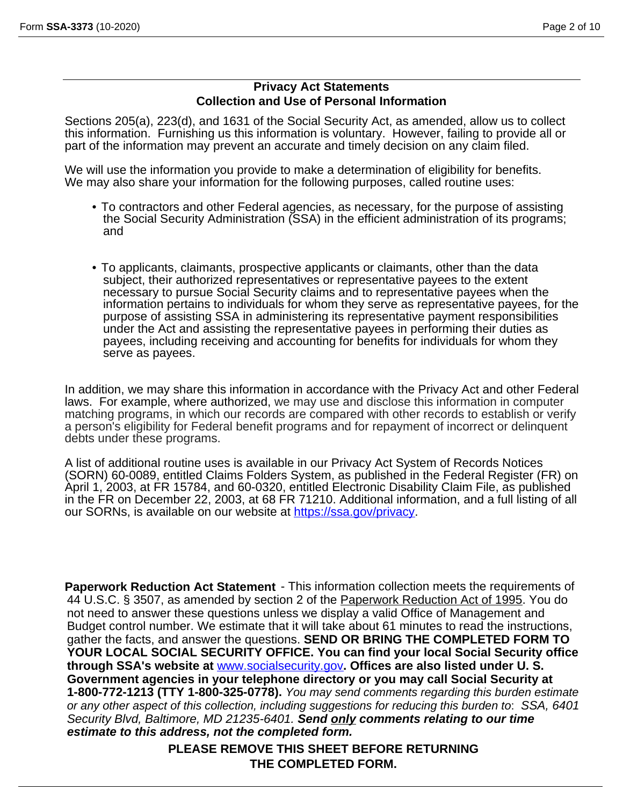#### **Privacy Act Statements Collection and Use of Personal Information**

Sections 205(a), 223(d), and 1631 of the Social Security Act, as amended, allow us to collect this information. Furnishing us this information is voluntary. However, failing to provide all or part of the information may prevent an accurate and timely decision on any claim filed.

We will use the information you provide to make a determination of eligibility for benefits. We may also share your information for the following purposes, called routine uses:

- To contractors and other Federal agencies, as necessary, for the purpose of assisting the Social Security Administration (SSA) in the efficient administration of its programs; and
- To applicants, claimants, prospective applicants or claimants, other than the data subject, their authorized representatives or representative payees to the extent necessary to pursue Social Security claims and to representative payees when the information pertains to individuals for whom they serve as representative payees, for the purpose of assisting SSA in administering its representative payment responsibilities under the Act and assisting the representative payees in performing their duties as payees, including receiving and accounting for benefits for individuals for whom they serve as payees.

In addition, we may share this information in accordance with the Privacy Act and other Federal laws. For example, where authorized, we may use and disclose this information in computer matching programs, in which our records are compared with other records to establish or verify a person's eligibility for Federal benefit programs and for repayment of incorrect or delinquent debts under these programs.

A list of additional routine uses is available in our Privacy Act System of Records Notices (SORN) 60-0089, entitled Claims Folders System, as published in the Federal Register (FR) on April 1, 2003, at FR 15784, and 60-0320, entitled Electronic Disability Claim File, as published in the FR on December 22, 2003, at 68 FR 71210. Additional information, and a full listing of all our SORNs, is available on our website at [https://ssa.gov/privacy.](https://ssa.gov/privacy)

**Paperwork Reduction Act Statement** - This information collection meets the requirements of 44 U.S.C. § 3507, as amended by section 2 of the Paperwork Reduction Act of 1995. You do not need to answer these questions unless we display a valid Office of Management and Budget control number. We estimate that it will take about 61 minutes to read the instructions, gather the facts, and answer the questions. **SEND OR BRING THE COMPLETED FORM TO YOUR LOCAL SOCIAL SECURITY OFFICE. You can find your local Social Security office through SSA's website at** [www.socialsecurity.gov](http://}{\rtlch\fcs1 \af44 \ltrch\fcs0 \b\f44\cf1\insrsid4656972\charrsid12216514 www.socialsecurity.gov}{\rtlch\fcs1 \af44 \ltrch\fcs0 \b\f44\cf1\insrsid4656972 )**. Offices are also listed under U. S. Government agencies in your telephone directory or you may call Social Security at 1-800-772-1213 (TTY 1-800-325-0778).** *You may send comments regarding this burden estimate or any other aspect of this collection, including suggestions for reducing this burden to*: *SSA, 6401 Security Blvd, Baltimore, MD 21235-6401. Send only comments relating to our time estimate to this address, not the completed form.* 

**PLEASE REMOVE THIS SHEET BEFORE RETURNING THE COMPLETED FORM.**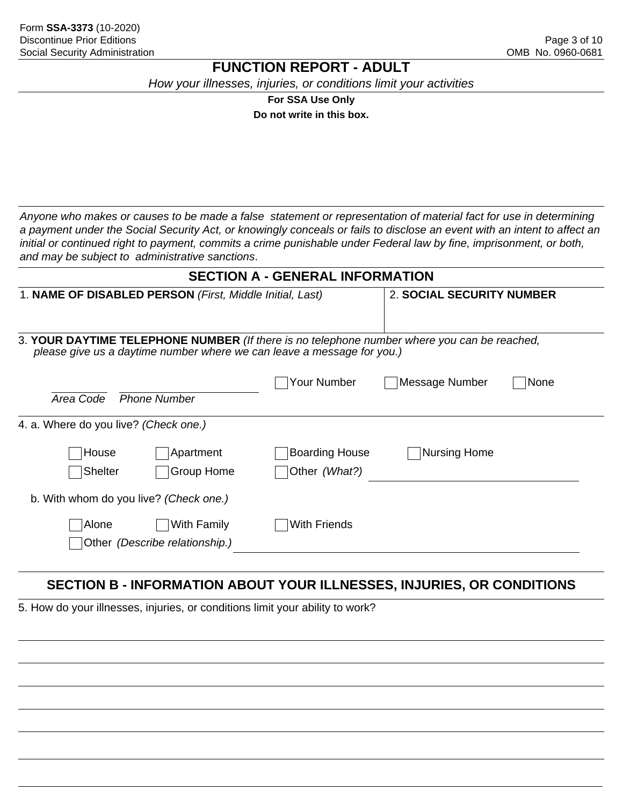# **FUNCTION REPORT - ADULT**

*How your illnesses, injuries, or conditions limit your activities*

**For SSA Use Only** 

**Do not write in this box.**

*Anyone who makes or causes to be made a false statement or representation of material fact for use in determining a payment under the Social Security Act, or knowingly conceals or fails to disclose an event with an intent to affect an initial or continued right to payment, commits a crime punishable under Federal law by fine, imprisonment, or both, and may be subject to administrative sanctions*.

| <b>SECTION A - GENERAL INFORMATION</b>                                 |                                                                                             |  |  |  |  |
|------------------------------------------------------------------------|---------------------------------------------------------------------------------------------|--|--|--|--|
| 1. NAME OF DISABLED PERSON (First, Middle Initial, Last)               | 2. SOCIAL SECURITY NUMBER                                                                   |  |  |  |  |
| please give us a daytime number where we can leave a message for you.) | 3. YOUR DAYTIME TELEPHONE NUMBER (If there is no telephone number where you can be reached, |  |  |  |  |
| Area Code<br><b>Phone Number</b>                                       | Your Number<br>Message Number<br>None                                                       |  |  |  |  |
| 4. a. Where do you live? (Check one.)                                  |                                                                                             |  |  |  |  |
| Apartment<br>House<br><b>Shelter</b><br>Group Home                     | <b>Boarding House</b><br><b>Nursing Home</b><br>Other (What?)                               |  |  |  |  |
| b. With whom do you live? (Check one.)                                 |                                                                                             |  |  |  |  |
| With Family<br>Alone<br>Other (Describe relationship.)                 | With Friends                                                                                |  |  |  |  |

# **SECTION B - INFORMATION ABOUT YOUR ILLNESSES, INJURIES, OR CONDITIONS**

5. How do your illnesses, injuries, or conditions limit your ability to work?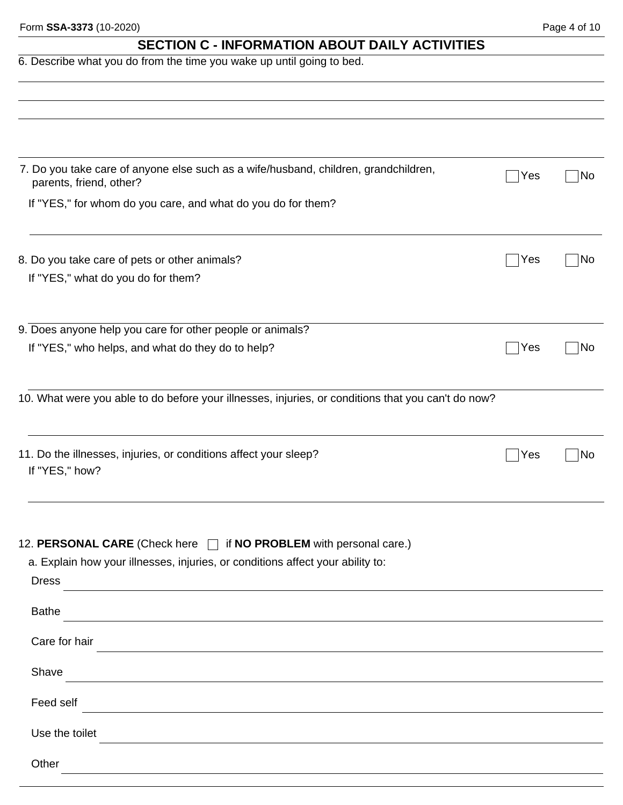| Form SSA-3373 (10-2020) |  |
|-------------------------|--|
|-------------------------|--|

Form **SSA-3373** (10-2020) Page 4 of 10 **SECTION C - INFORMATION ABOUT DAILY ACTIVITIES**  6. Describe what you do from the time you wake up until going to bed. 7. Do you take care of anyone else such as a wife/husband, children, grandchildren, parents, friend, other? Yes No If "YES," for whom do you care, and what do you do for them? 8. Do you take care of pets or other animals? No was not all the set of personal control of the No was not an interesting  $\sim$  No  $\sim$  No  $\sim$  No  $\sim$  No  $\sim$  No  $\sim$  No  $\sim$  No  $\sim$  No  $\sim$  No  $\sim$  No  $\sim$  No  $\sim$  No  $\sim$ If "YES," what do you do for them? 9. Does anyone help you care for other people or animals? If "YES," who helps, and what do they do to help?  $\Box$  Yes  $\Box$  Yes  $\Box$  No 10. What were you able to do before your illnesses, injuries, or conditions that you can't do now? 11. Do the illnesses, injuries, or conditions affect your sleep?  $\Box$  Yes  $\Box$  No If "YES," how? 12. **PERSONAL CARE** (Check here  $\Box$  if **NO PROBLEM** with personal care.) a. Explain how your illnesses, injuries, or conditions affect your ability to: Dress Bathe Care for hair **Care for hair Care for hair Care for hair Care for hair Care in the case of the case of the case of the case of the case of the case of the case of the case of the case of the case of the case of the** Shave Feed self **Feed self Feed self Feed self Feed self Feed self Feed self Feed self Feed self Feed self Feed self Feed self Feed self Feed self Feed self Feed self Feed self Feed self Feed se** 

Use the toilet

**Other**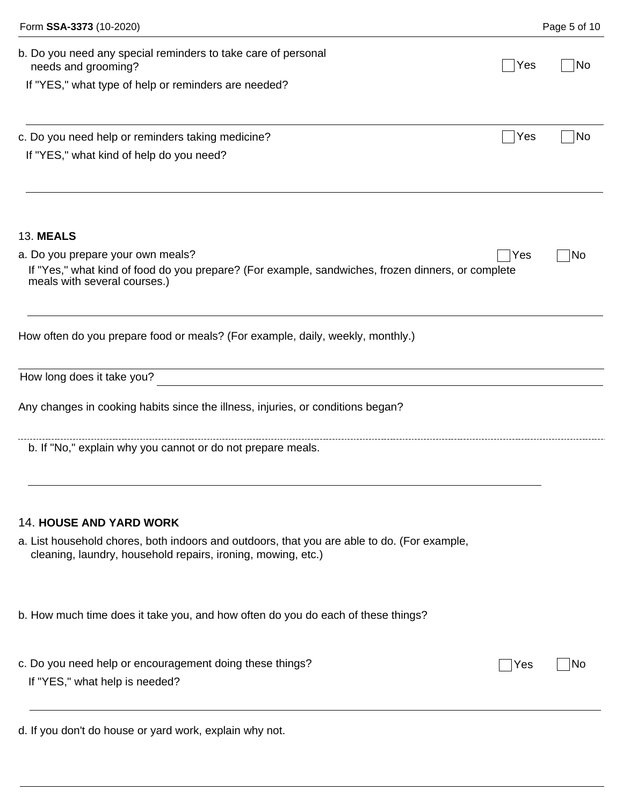| Form SSA-3373 (10-2020)                                                                                                                                     | Page 5 of 10 |
|-------------------------------------------------------------------------------------------------------------------------------------------------------------|--------------|
| b. Do you need any special reminders to take care of personal<br>Yes<br>needs and grooming?<br>If "YES," what type of help or reminders are needed?         | No           |
|                                                                                                                                                             |              |
| c. Do you need help or reminders taking medicine?<br>Yes                                                                                                    | No           |
| If "YES," what kind of help do you need?                                                                                                                    |              |
| <b>13. MEALS</b>                                                                                                                                            |              |
| a. Do you prepare your own meals?<br>Yes                                                                                                                    | No           |
| If "Yes," what kind of food do you prepare? (For example, sandwiches, frozen dinners, or complete<br>meals with several courses.)                           |              |
| How often do you prepare food or meals? (For example, daily, weekly, monthly.)                                                                              |              |
| How long does it take you?                                                                                                                                  |              |
| Any changes in cooking habits since the illness, injuries, or conditions began?                                                                             |              |
| b. If "No," explain why you cannot or do not prepare meals.                                                                                                 |              |
| <b>14. HOUSE AND YARD WORK</b>                                                                                                                              |              |
| a. List household chores, both indoors and outdoors, that you are able to do. (For example,<br>cleaning, laundry, household repairs, ironing, mowing, etc.) |              |
| b. How much time does it take you, and how often do you do each of these things?                                                                            |              |
| c. Do you need help or encouragement doing these things?<br>Yes<br>If "YES," what help is needed?                                                           | <b>NO</b>    |
| d. If you don't do house or yard work, explain why not.                                                                                                     |              |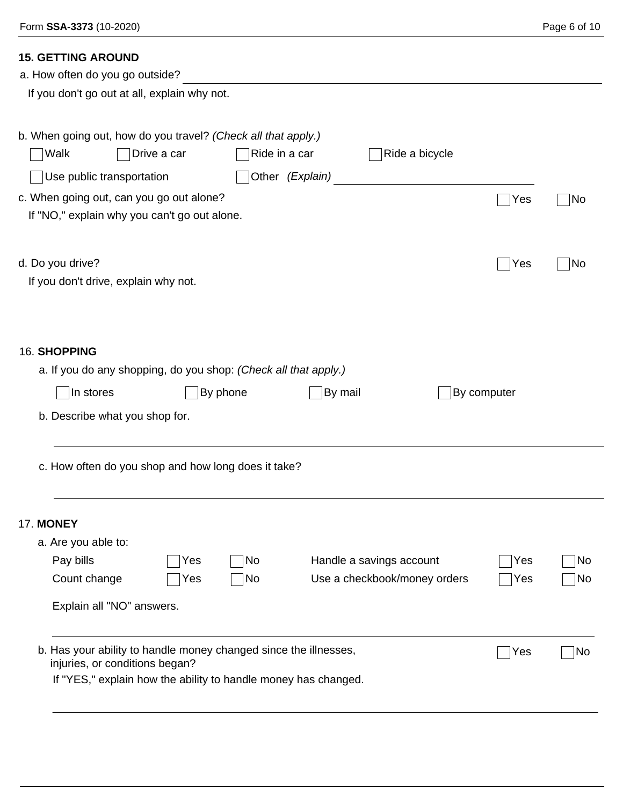# **15. GETTING AROUND**

| a. How often do you go outside?                                                                                                                                                                                                                                            |          |
|----------------------------------------------------------------------------------------------------------------------------------------------------------------------------------------------------------------------------------------------------------------------------|----------|
| If you don't go out at all, explain why not.                                                                                                                                                                                                                               |          |
| b. When going out, how do you travel? (Check all that apply.)<br>Ride a bicycle<br>Walk<br>Drive a car<br>Ride in a car<br>Other (Explain)<br>Use public transportation<br>c. When going out, can you go out alone?<br>Yes<br>If "NO," explain why you can't go out alone. | No       |
| d. Do you drive?<br>Yes<br>If you don't drive, explain why not.                                                                                                                                                                                                            | No       |
| 16. SHOPPING<br>a. If you do any shopping, do you shop: (Check all that apply.)<br>In stores<br>By phone<br>By mail<br>By computer<br>b. Describe what you shop for.                                                                                                       |          |
| c. How often do you shop and how long does it take?                                                                                                                                                                                                                        |          |
| <b>17. MONEY</b><br>a. Are you able to:<br>Pay bills<br>Handle a savings account<br>No<br>Yes<br>Yes<br>Use a checkbook/money orders<br>Count change<br><b>No</b><br>Yes<br>Yes<br>Explain all "NO" answers.                                                               | No<br>No |
| b. Has your ability to handle money changed since the illnesses,<br>Yes<br>injuries, or conditions began?<br>If "YES," explain how the ability to handle money has changed.                                                                                                | No       |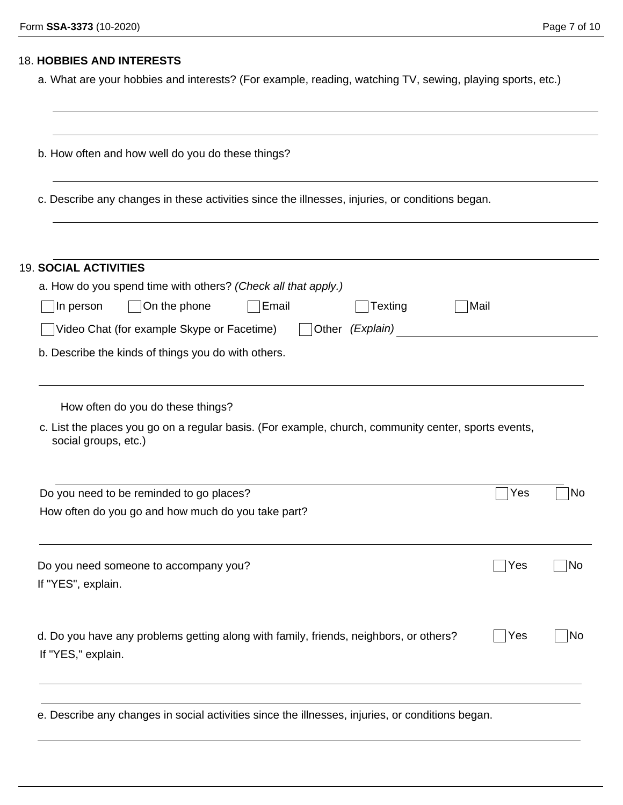## 18. **HOBBIES AND INTERESTS**

a. What are your hobbies and interests? (For example, reading, watching TV, sewing, playing sports, etc.)

| b. How often and how well do you do these things?<br>c. Describe any changes in these activities since the illnesses, injuries, or conditions began.              |      |    |  |  |
|-------------------------------------------------------------------------------------------------------------------------------------------------------------------|------|----|--|--|
|                                                                                                                                                                   |      |    |  |  |
| a. How do you spend time with others? (Check all that apply.)                                                                                                     |      |    |  |  |
| On the phone<br>Email<br>In person<br>Texting                                                                                                                     | Mail |    |  |  |
| Video Chat (for example Skype or Facetime)<br>Other (Explain)                                                                                                     |      |    |  |  |
| b. Describe the kinds of things you do with others.                                                                                                               |      |    |  |  |
| How often do you do these things?<br>c. List the places you go on a regular basis. (For example, church, community center, sports events,<br>social groups, etc.) |      |    |  |  |
| Do you need to be reminded to go places?                                                                                                                          | Yes  | No |  |  |
| How often do you go and how much do you take part?                                                                                                                |      |    |  |  |
| Do you need someone to accompany you?                                                                                                                             | Yes  | No |  |  |
| If "YES", explain.                                                                                                                                                |      |    |  |  |
| d. Do you have any problems getting along with family, friends, neighbors, or others?<br>If "YES," explain.                                                       | Yes  | No |  |  |
|                                                                                                                                                                   |      |    |  |  |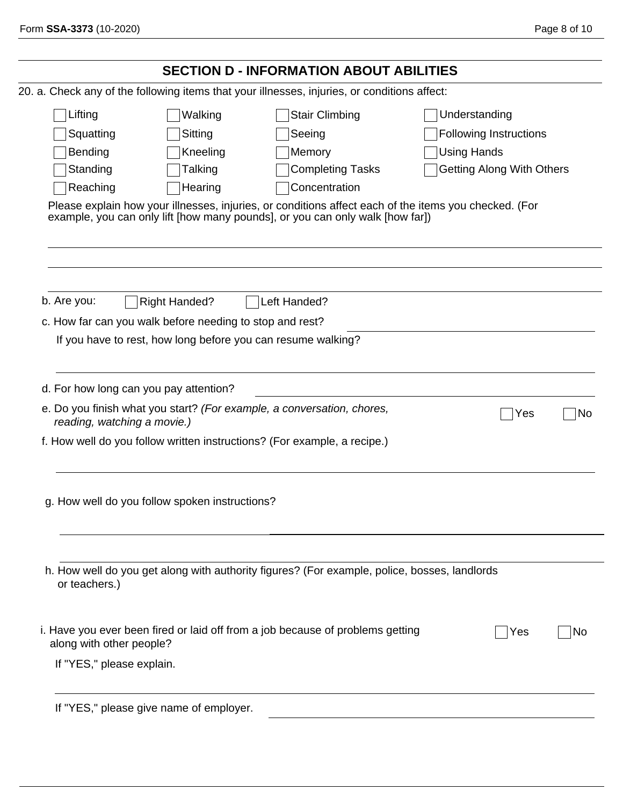|                             |                                                          | <b>SECTION D - INFORMATION ABOUT ABILITIES</b>                                                                                                                                         |                                  |    |
|-----------------------------|----------------------------------------------------------|----------------------------------------------------------------------------------------------------------------------------------------------------------------------------------------|----------------------------------|----|
|                             |                                                          | 20. a. Check any of the following items that your illnesses, injuries, or conditions affect:                                                                                           |                                  |    |
| Lifting                     | Walking                                                  | <b>Stair Climbing</b>                                                                                                                                                                  | Understanding                    |    |
| Squatting                   | Sitting                                                  | Seeing                                                                                                                                                                                 | <b>Following Instructions</b>    |    |
| Bending                     | Kneeling                                                 | Memory                                                                                                                                                                                 | <b>Using Hands</b>               |    |
| Standing                    | Talking                                                  | <b>Completing Tasks</b>                                                                                                                                                                | <b>Getting Along With Others</b> |    |
| Reaching                    | Hearing                                                  | Concentration                                                                                                                                                                          |                                  |    |
|                             |                                                          | Please explain how your illnesses, injuries, or conditions affect each of the items you checked. (For<br>example, you can only lift [how many pounds], or you can only walk [how far]) |                                  |    |
| b. Are you:                 | <b>Right Handed?</b>                                     | Left Handed?                                                                                                                                                                           |                                  |    |
|                             | c. How far can you walk before needing to stop and rest? |                                                                                                                                                                                        |                                  |    |
|                             |                                                          | If you have to rest, how long before you can resume walking?                                                                                                                           |                                  |    |
| reading, watching a movie.) |                                                          | e. Do you finish what you start? (For example, a conversation, chores,<br>f. How well do you follow written instructions? (For example, a recipe.)                                     | Yes                              | No |
|                             | g. How well do you follow spoken instructions?           |                                                                                                                                                                                        |                                  |    |
| or teachers.)               |                                                          | h. How well do you get along with authority figures? (For example, police, bosses, landlords                                                                                           |                                  |    |
| along with other people?    |                                                          | i. Have you ever been fired or laid off from a job because of problems getting                                                                                                         | Yes                              | Νo |
| If "YES," please explain.   |                                                          |                                                                                                                                                                                        |                                  |    |
|                             | If "YES," please give name of employer.                  |                                                                                                                                                                                        |                                  |    |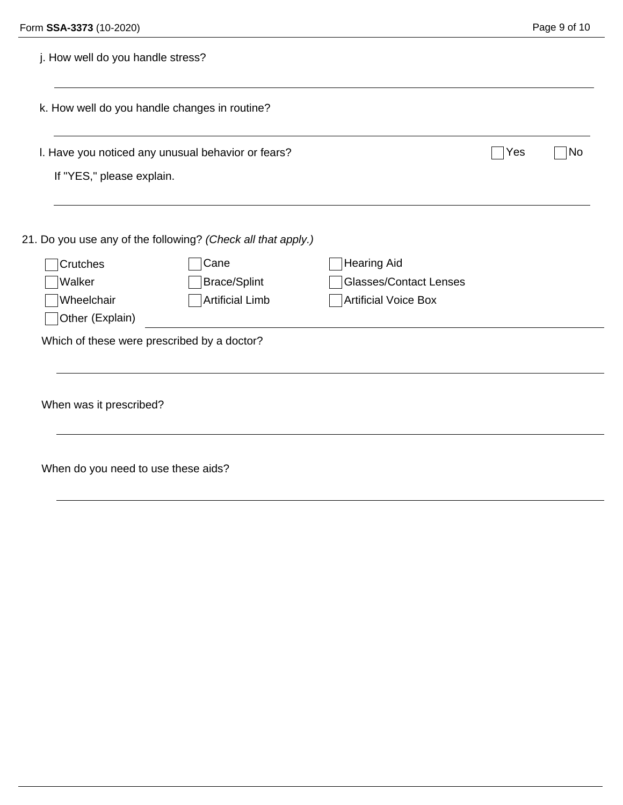| j. How well do you handle stress?                                               |                        |                               |     |    |
|---------------------------------------------------------------------------------|------------------------|-------------------------------|-----|----|
| k. How well do you handle changes in routine?                                   |                        |                               |     |    |
| I. Have you noticed any unusual behavior or fears?<br>If "YES," please explain. |                        |                               | Yes | No |
|                                                                                 |                        |                               |     |    |
| 21. Do you use any of the following? (Check all that apply.)                    |                        |                               |     |    |
| Crutches                                                                        | Cane                   | <b>Hearing Aid</b>            |     |    |
| Walker                                                                          | <b>Brace/Splint</b>    | <b>Glasses/Contact Lenses</b> |     |    |
| Wheelchair                                                                      | <b>Artificial Limb</b> | <b>Artificial Voice Box</b>   |     |    |
| Other (Explain)                                                                 |                        |                               |     |    |
| Which of these were prescribed by a doctor?                                     |                        |                               |     |    |
| When was it prescribed?                                                         |                        |                               |     |    |
| When do you need to use these aids?                                             |                        |                               |     |    |